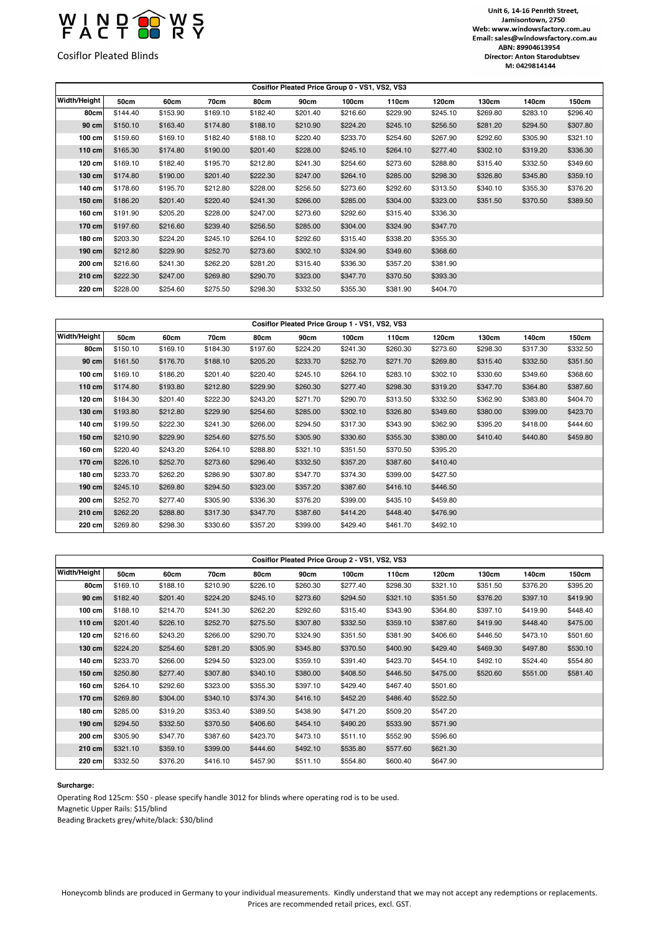

Cosiflor Pleated Blinds

## Unit 6, 14-16 Penrith Street, Jamisontown, 2750 Web: www.windowsfactory.com.au Email: sales@windowsfactory.com.au ABN: 89904613954 Director: Anton Starodubtsev M: 0429814144

| Cosiflor Pleated Price Group 0 - VS1, VS2, VS3 |          |          |          |          |          |          |          |          |          |          |          |  |
|------------------------------------------------|----------|----------|----------|----------|----------|----------|----------|----------|----------|----------|----------|--|
| Width/Height                                   | 50cm     | 60cm     | 70cm     | 80cm     | 90cm     | 100cm    | 110cm    | 120cm    | 130cm    | 140cm    | 150cm    |  |
| 80cm                                           | \$144.40 | \$153.90 | \$169.10 | \$182.40 | \$201.40 | \$216.60 | \$229.90 | \$245.10 | \$269.80 | \$283.10 | \$296.40 |  |
| 90 cm                                          | \$150.10 | \$163.40 | \$174.80 | \$188.10 | \$210.90 | \$224.20 | \$245.10 | \$256.50 | \$281.20 | \$294.50 | \$307.80 |  |
| 100 cm                                         | \$159.60 | \$169.10 | \$182.40 | \$188.10 | \$220.40 | \$233.70 | \$254.60 | \$267.90 | \$292.60 | \$305.90 | \$321.10 |  |
| $110$ cm                                       | \$165.30 | \$174.80 | \$190.00 | \$201.40 | \$228.00 | \$245.10 | \$264.10 | \$277.40 | \$302.10 | \$319.20 | \$336.30 |  |
| 120 cm                                         | \$169.10 | \$182.40 | \$195.70 | \$212.80 | \$241.30 | \$254.60 | \$273.60 | \$288.80 | \$315.40 | \$332.50 | \$349.60 |  |
| $130$ cm                                       | \$174.80 | \$190.00 | \$201.40 | \$222.30 | \$247.00 | \$264.10 | \$285.00 | \$298.30 | \$326.80 | \$345.80 | \$359.10 |  |
| 140 cm                                         | \$178.60 | \$195.70 | \$212.80 | \$228.00 | \$256.50 | \$273.60 | \$292.60 | \$313.50 | \$340.10 | \$355.30 | \$376.20 |  |
| $150$ cm                                       | \$186.20 | \$201.40 | \$220.40 | \$241.30 | \$266.00 | \$285.00 | \$304.00 | \$323.00 | \$351.50 | \$370.50 | \$389.50 |  |
| 160 cm                                         | \$191.90 | \$205.20 | \$228.00 | \$247.00 | \$273.60 | \$292.60 | \$315.40 | \$336.30 |          |          |          |  |
| 170 cm                                         | \$197.60 | \$216.60 | \$239.40 | \$256.50 | \$285.00 | \$304.00 | \$324.90 | \$347.70 |          |          |          |  |
| 180 cm                                         | \$203.30 | \$224.20 | \$245.10 | \$264.10 | \$292.60 | \$315.40 | \$338.20 | \$355.30 |          |          |          |  |
| 190 cm                                         | \$212.80 | \$229.90 | \$252.70 | \$273.60 | \$302.10 | \$324.90 | \$349.60 | \$368.60 |          |          |          |  |
| 200 cm                                         | \$216.60 | \$241.30 | \$262.20 | \$281.20 | \$315.40 | \$336.30 | \$357.20 | \$381.90 |          |          |          |  |
| $210$ cm                                       | \$222.30 | \$247.00 | \$269.80 | \$290.70 | \$323.00 | \$347.70 | \$370.50 | \$393.30 |          |          |          |  |
| 220 cm                                         | \$228.00 | \$254.60 | \$275.50 | \$298.30 | \$332.50 | \$355.30 | \$381.90 | \$404.70 |          |          |          |  |

| Cosiflor Pleated Price Group 1 - VS1, VS2, VS3 |          |          |          |          |          |          |          |          |          |          |          |  |
|------------------------------------------------|----------|----------|----------|----------|----------|----------|----------|----------|----------|----------|----------|--|
| Width/Height                                   | 50cm     | 60cm     | 70cm     | 80cm     | 90cm     | 100cm    | 110cm    | 120cm    | 130cm    | 140cm    | 150cm    |  |
| 80cm                                           | \$150.10 | \$169.10 | \$184.30 | \$197.60 | \$224.20 | \$241.30 | \$260.30 | \$273.60 | \$298.30 | \$317.30 | \$332.50 |  |
| 90 cm                                          | \$161.50 | \$176.70 | \$188.10 | \$205.20 | \$233.70 | \$252.70 | \$271.70 | \$269.80 | \$315.40 | \$332.50 | \$351.50 |  |
| $100$ cm                                       | \$169.10 | \$186.20 | \$201.40 | \$220.40 | \$245.10 | \$264.10 | \$283.10 | \$302.10 | \$330.60 | \$349.60 | \$368.60 |  |
| 110 cm                                         | \$174.80 | \$193.80 | \$212.80 | \$229.90 | \$260.30 | \$277.40 | \$298.30 | \$319.20 | \$347.70 | \$364.80 | \$387.60 |  |
| 120 cm                                         | \$184.30 | \$201.40 | \$222.30 | \$243.20 | \$271.70 | \$290.70 | \$313.50 | \$332.50 | \$362.90 | \$383.80 | \$404.70 |  |
| $130$ cm                                       | \$193.80 | \$212.80 | \$229.90 | \$254.60 | \$285.00 | \$302.10 | \$326.80 | \$349.60 | \$380.00 | \$399.00 | \$423.70 |  |
| 140 cm                                         | \$199.50 | \$222.30 | \$241.30 | \$266.00 | \$294.50 | \$317.30 | \$343.90 | \$362.90 | \$395.20 | \$418.00 | \$444.60 |  |
| 150 cm                                         | \$210.90 | \$229.90 | \$254.60 | \$275.50 | \$305.90 | \$330.60 | \$355.30 | \$380.00 | \$410.40 | \$440.80 | \$459.80 |  |
| 160 cm                                         | \$220.40 | \$243.20 | \$264.10 | \$288.80 | \$321.10 | \$351.50 | \$370.50 | \$395.20 |          |          |          |  |
| 170 cm                                         | \$226.10 | \$252.70 | \$273.60 | \$296.40 | \$332.50 | \$357.20 | \$387.60 | \$410.40 |          |          |          |  |
| 180 cm                                         | \$233.70 | \$262.20 | \$286.90 | \$307.80 | \$347.70 | \$374.30 | \$399.00 | \$427.50 |          |          |          |  |
| 190 cm                                         | \$245.10 | \$269.80 | \$294.50 | \$323.00 | \$357.20 | \$387.60 | \$416.10 | \$446.50 |          |          |          |  |
| 200 cm                                         | \$252.70 | \$277.40 | \$305.90 | \$336.30 | \$376.20 | \$399.00 | \$435.10 | \$459.80 |          |          |          |  |
| 210 cm                                         | \$262.20 | \$288.80 | \$317.30 | \$347.70 | \$387.60 | \$414.20 | \$448.40 | \$476.90 |          |          |          |  |
| 220 cm                                         | \$269.80 | \$298.30 | \$330.60 | \$357.20 | \$399.00 | \$429.40 | \$461.70 | \$492.10 |          |          |          |  |

| Cosiflor Pleated Price Group 2 - VS1, VS2, VS3 |  |
|------------------------------------------------|--|

| Width/Height     | 50cm     | 60cm     | 70cm     | 80cm     | 90cm     | 100cm    | 110cm    | 120cm    | 130cm    | 140cm    | 150cm    |  |
|------------------|----------|----------|----------|----------|----------|----------|----------|----------|----------|----------|----------|--|
| 80cm             | \$169.10 | \$188.10 | \$210.90 | \$226.10 | \$260.30 | \$277.40 | \$298.30 | \$321.10 | \$351.50 | \$376.20 | \$395.20 |  |
| 90 cm            | \$182.40 | \$201.40 | \$224.20 | \$245.10 | \$273.60 | \$294.50 | \$321.10 | \$351.50 | \$376.20 | \$397.10 | \$419.90 |  |
| $100$ cm         | \$188.10 | \$214.70 | \$241.30 | \$262.20 | \$292.60 | \$315.40 | \$343.90 | \$364.80 | \$397.10 | \$419.90 | \$448.40 |  |
| $110 \text{ cm}$ | \$201.40 | \$226.10 | \$252.70 | \$275.50 | \$307.80 | \$332.50 | \$359.10 | \$387.60 | \$419.90 | \$448.40 | \$475.00 |  |
| 120 cm           | \$216.60 | \$243.20 | \$266.00 | \$290.70 | \$324.90 | \$351.50 | \$381.90 | \$406.60 | \$446.50 | \$473.10 | \$501.60 |  |
| $130$ cm         | \$224.20 | \$254.60 | \$281.20 | \$305.90 | \$345.80 | \$370.50 | \$400.90 | \$429.40 | \$469.30 | \$497.80 | \$530.10 |  |
| 140 cm           | \$233.70 | \$266.00 | \$294.50 | \$323.00 | \$359.10 | \$391.40 | \$423.70 | \$454.10 | \$492.10 | \$524.40 | \$554.80 |  |
| 150 cm           | \$250.80 | \$277.40 | \$307.80 | \$340.10 | \$380.00 | \$408.50 | \$446.50 | \$475.00 | \$520.60 | \$551.00 | \$581.40 |  |
| 160 cm           | \$264.10 | \$292.60 | \$323.00 | \$355.30 | \$397.10 | \$429.40 | \$467.40 | \$501.60 |          |          |          |  |
| 170 cm           | \$269.80 | \$304.00 | \$340.10 | \$374.30 | \$416.10 | \$452.20 | \$486.40 | \$522.50 |          |          |          |  |
| 180 cm           | \$285.00 | \$319.20 | \$353.40 | \$389.50 | \$438.90 | \$471.20 | \$509.20 | \$547.20 |          |          |          |  |
| 190 cm           | \$294.50 | \$332.50 | \$370.50 | \$406.60 | \$454.10 | \$490.20 | \$533.90 | \$571.90 |          |          |          |  |
| 200 cm           | \$305.90 | \$347.70 | \$387.60 | \$423.70 | \$473.10 | \$511.10 | \$552.90 | \$596.60 |          |          |          |  |
| 210 cm           | \$321.10 | \$359.10 | \$399.00 | \$444.60 | \$492.10 | \$535.80 | \$577.60 | \$621.30 |          |          |          |  |
| 220 cm           | \$332.50 | \$376.20 | \$416.10 | \$457.90 | \$511.10 | \$554.80 | \$600.40 | \$647.90 |          |          |          |  |

## **Surcharge:**

 $\overline{\phantom{a}}$ 

Operating Rod 125cm: \$50 - please specify handle 3012 for blinds where operating rod is to be used.

Magnetic Upper Rails: \$15/blind

Beading Brackets grey/white/black: \$30/blind